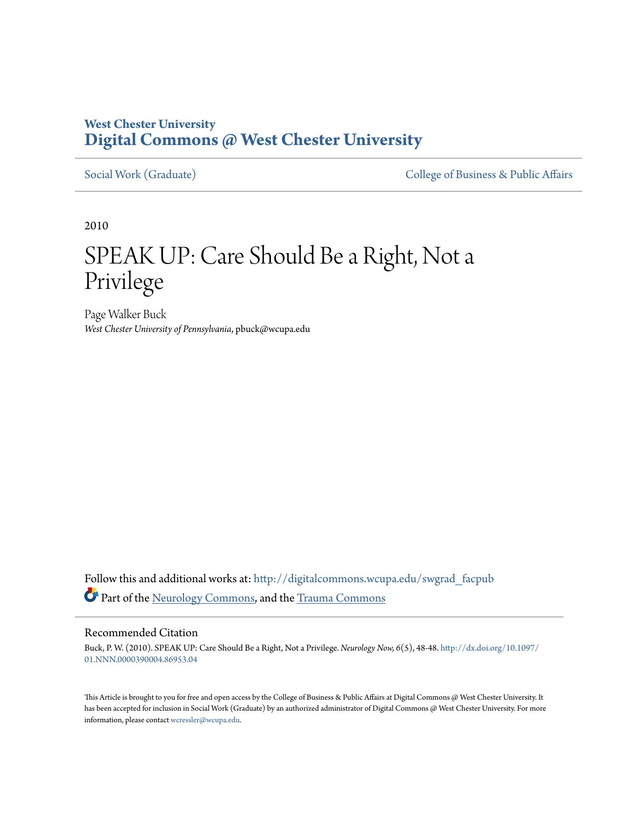### **West Chester University [Digital Commons @ West Chester University](http://digitalcommons.wcupa.edu?utm_source=digitalcommons.wcupa.edu%2Fswgrad_facpub%2F3&utm_medium=PDF&utm_campaign=PDFCoverPages)**

[Social Work \(Graduate\)](http://digitalcommons.wcupa.edu/swgrad_facpub?utm_source=digitalcommons.wcupa.edu%2Fswgrad_facpub%2F3&utm_medium=PDF&utm_campaign=PDFCoverPages) [College of Business & Public Affairs](http://digitalcommons.wcupa.edu/cbpa?utm_source=digitalcommons.wcupa.edu%2Fswgrad_facpub%2F3&utm_medium=PDF&utm_campaign=PDFCoverPages)

2010

## SPEAK UP: Care Should Be a Right, Not a Privilege

Page Walker Buck *West Chester University of Pennsylvania*, pbuck@wcupa.edu

Follow this and additional works at: [http://digitalcommons.wcupa.edu/swgrad\\_facpub](http://digitalcommons.wcupa.edu/swgrad_facpub?utm_source=digitalcommons.wcupa.edu%2Fswgrad_facpub%2F3&utm_medium=PDF&utm_campaign=PDFCoverPages) Part of the [Neurology Commons](http://network.bepress.com/hgg/discipline/692?utm_source=digitalcommons.wcupa.edu%2Fswgrad_facpub%2F3&utm_medium=PDF&utm_campaign=PDFCoverPages), and the [Trauma Commons](http://network.bepress.com/hgg/discipline/1240?utm_source=digitalcommons.wcupa.edu%2Fswgrad_facpub%2F3&utm_medium=PDF&utm_campaign=PDFCoverPages)

### Recommended Citation

Buck, P. W. (2010). SPEAK UP: Care Should Be a Right, Not a Privilege. *Neurology Now, 6*(5), 48-48. [http://dx.doi.org/10.1097/](http://dx.doi.org/10.1097/01.NNN.0000390004.86953.04) [01.NNN.0000390004.86953.04](http://dx.doi.org/10.1097/01.NNN.0000390004.86953.04)

This Article is brought to you for free and open access by the College of Business & Public Affairs at Digital Commons @ West Chester University. It has been accepted for inclusion in Social Work (Graduate) by an authorized administrator of Digital Commons @ West Chester University. For more information, please contact [wcressler@wcupa.edu.](mailto:wcressler@wcupa.edu)